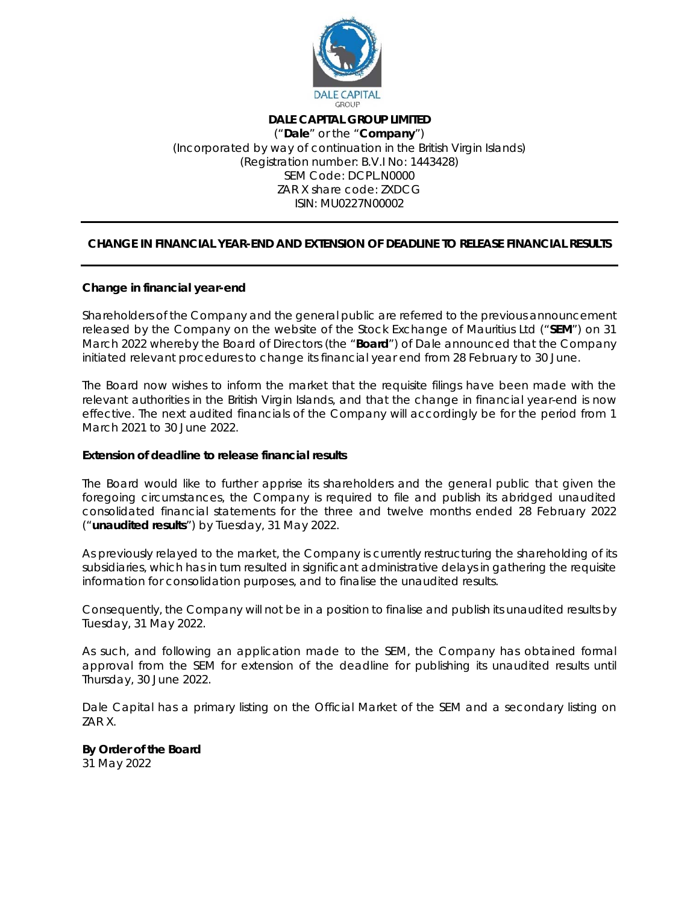

## **DALE CAPITAL GROUP LIMITED**  ("**Dale**" or the "**Company**") (Incorporated by way of continuation in the British Virgin Islands) (Registration number: B.V.I No: 1443428) SEM Code: DCPL.N0000 ZAR X share code: ZXDCG ISIN: MU0227N00002

## **CHANGE IN FINANCIAL YEAR-END AND EXTENSION OF DEADLINE TO RELEASE FINANCIAL RESULTS**

## **Change in financial year-end**

Shareholders of the Company and the general public are referred to the previous announcement released by the Company on the website of the Stock Exchange of Mauritius Ltd ("**SEM**") on 31 March 2022 whereby the Board of Directors (the "**Board**") of Dale announced that the Company initiated relevant procedures to change its financial year end from 28 February to 30 June.

The Board now wishes to inform the market that the requisite filings have been made with the relevant authorities in the British Virgin Islands, and that the change in financial year-end is now effective. The next audited financials of the Company will accordingly be for the period from 1 March 2021 to 30 June 2022.

## **Extension of deadline to release financial results**

The Board would like to further apprise its shareholders and the general public that given the foregoing circumstances, the Company is required to file and publish its abridged unaudited consolidated financial statements for the three and twelve months ended 28 February 2022 ("**unaudited results**") by Tuesday, 31 May 2022.

As previously relayed to the market, the Company is currently restructuring the shareholding of its subsidiaries, which has in turn resulted in significant administrative delays in gathering the requisite information for consolidation purposes, and to finalise the unaudited results.

Consequently, the Company will not be in a position to finalise and publish its unaudited results by Tuesday, 31 May 2022.

As such, and following an application made to the SEM, the Company has obtained formal approval from the SEM for extension of the deadline for publishing its unaudited results until Thursday, 30 June 2022.

Dale Capital has a primary listing on the Official Market of the SEM and a secondary listing on ZAR X.

**By Order of the Board** 

31 May 2022